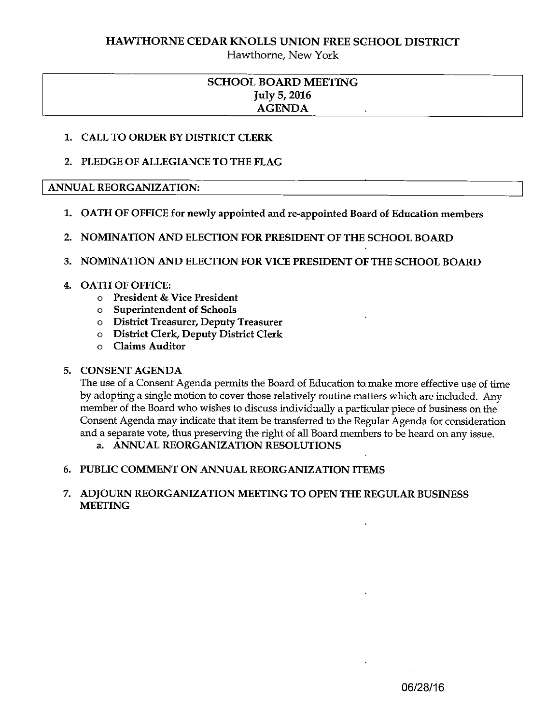Hawthorne, New York

### SCHOOL BOARD MEETING July 5, 2016 AGENDA

#### 1. CALL TO ORDER BY DISTRICT CLERK

#### 2. PLEDGE OF ALLEGIANCE TO THE FLAG

#### ANNUAL REORGANIZATION:

- 1. OATH OF OFFICE for newly appointed and re-appointed Board of Education members
- 2. NOMINATION AND ELECTION FOR PRESIDENT OF THE SCHOOL BOARD

#### 3. NOMINATION AND ELECTION FOR VICE PRESIDENT OF THE SCHOOL BOARD

#### 4. OATH OF OFFICE:

- <sup>o</sup> President & Vice President
- o Superintendent of Schools
- <sup>o</sup> District Treasurer, Deputy Treasurer
- o District Clerk, Deputy District Clerk
- o Claims Auditor

#### 5. CONSENT AGENDA

The use of a Consent Agenda permits the Board of Education to. make more effective use of time by adopting a single motion to cover those relatively routine matters which are included. Any member of the Board who wishes to discuss individually <sup>a</sup> particular piece of business on the Consent Agenda may indicate that item be transferred to the Regular Agenda for consideration and <sup>a</sup> separate vote, thus preserving the right of all Board members to be heard on any issue.

a. ANNUAL REORGANIZATION RESOLUTIONS

#### 6. PUBLIC COMMENT ON ANNUAL REORGANIZATION ITEMS

#### 7. ADJOURN REORGANIZATION MEETING TO OPEN THE REGULAR BUSINESS MEETING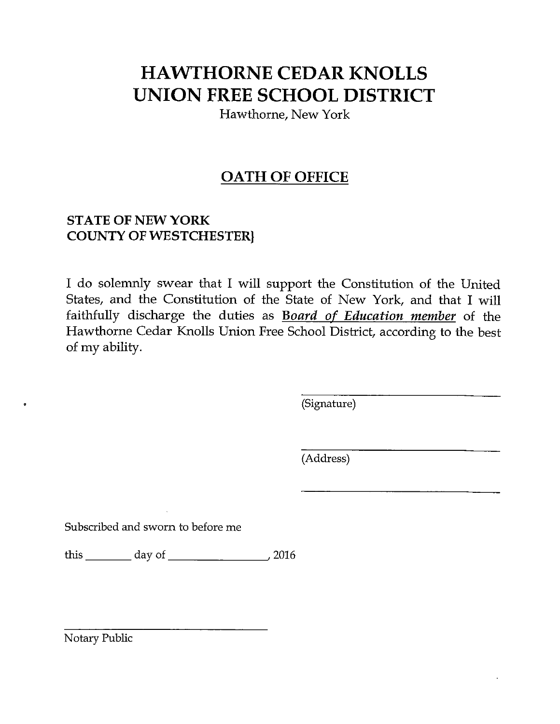Hawthorne, New York

## OATH OF OFFICE

### STATE OF NEW YORK COUNTY OF WESTCHESTER}

I do solemnly swear that I will support the Constitution of the United States, and the Constitution of the State of New York, and that I will faithfully discharge the duties as **Board of Education member** of the Hawthorne Cedar Knolls Union Free School District, according to the best of my ability.

(Signature)

(Address)

Subscribed and sworn to before me

this day of 1000 day of 2016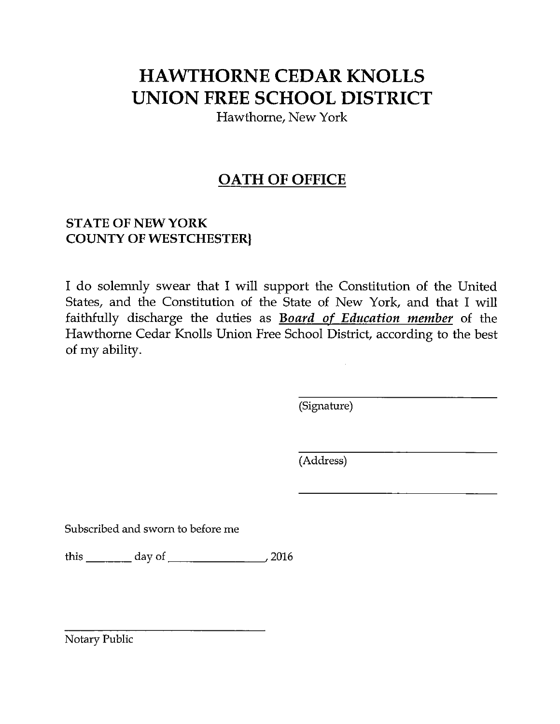Hawthorne, New York

## OATH OF OFFICE

### STATE OF NEW YORK COUNTY OF WESTCHESTERI

I do solemnly swear that I will support the Constitution of the United States, and the Constitution of the State of New York, and that I will faithfully discharge the duties as **Board of Education member** of the Hawthorne Cedar Knolls Union Free School District, according to the best of my ability.

(Signature)

(Address)

Subscribed and sworn to before me

this \_\_\_\_\_\_\_\_ day of \_\_\_\_\_\_\_\_\_\_\_\_\_\_\_\_\_, 2016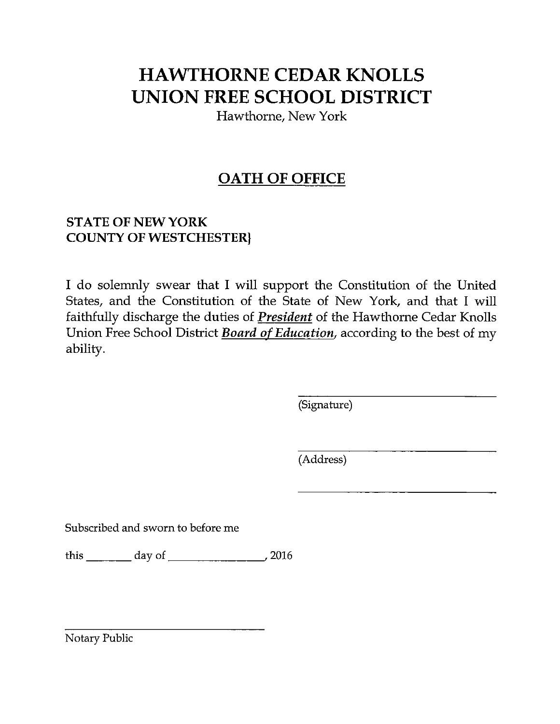Hawthorne, New York

## OATH OF OFFICE

### STATE OF NEW YORK COUNTY OF WESTCHESTER)

I do solemnly swear that I will support the Constitution of the United States, and the Constitution of the State of New York, and that I will faithfully discharge the duties of President of the Hawthorne Cedar Knolls Union Free School District Board of Education, according to the best of my ability.

(Signature)

(Address)

Subscribed and sworn to before me

this \_\_\_\_\_\_\_ day of \_\_\_\_\_\_\_\_\_\_\_\_\_\_,2016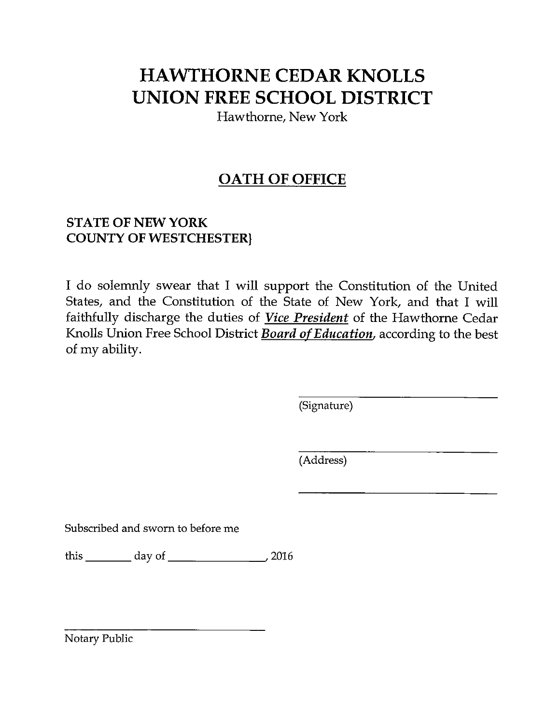Hawthorne, New York

## OATH OF OFFICE

### STATE OF NEW YORK COUNTY OF WESTCHESTER)

I do solemnly swear that I will support the Constitution of the United States, and the Constitution of the State of New York, and that I will faithfully discharge the duties of Vice President of the Hawthorne Cedar Knolls Union Free School District **Board of Education**, according to the best of my ability.

(Signature)

(Address)

Subscribed and sworn to before me

this day of \_\_\_\_\_\_\_\_\_\_\_\_\_\_\_\_\_, 2016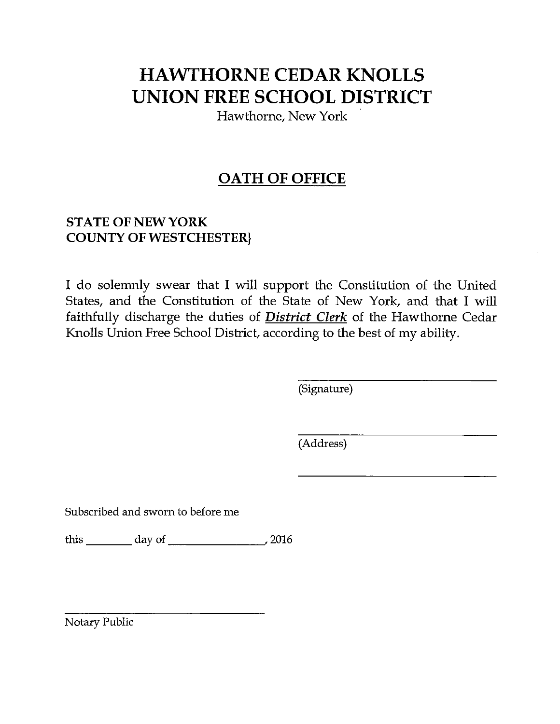Hawthorne, New York

## OATH OF OFFICE

### STATE OF NEW YORK COUNTY OF WESTCHESTER)

I do solemnly swear that I will support the Constitution of the United States, and the Constitution of the State of New York, and that I will faithfully discharge the duties of District Clerk of the Hawthorne Cedar Knolls Union Free School District, according to the best of my ability.

(Signature)

(Address)

Subscribed and sworn to before me

this \_\_\_\_\_\_\_ day of \_\_\_\_\_\_\_\_\_\_\_\_\_\_\_,2016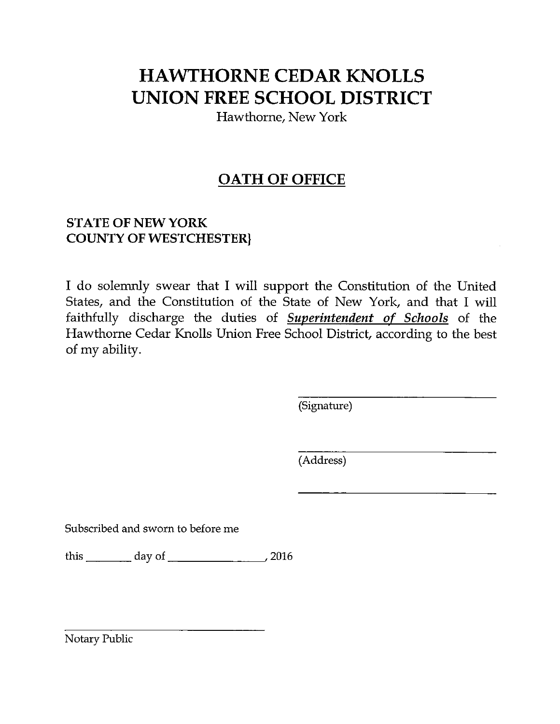Hawthorne, New York

## OATH OF OFFICE

### STATE OF NEW YORK COUNTY OF WESTCHESTER}

I do solemnly swear that I will support the Constitution of the United States, and the Constitution of the State of New York, and that I will faithfully discharge the duties of Superintendent of Schools of the Hawthorne Cedar Knolls Union Free School District, according to the best of my ability.

(Signature)

(Address)

Subscribed and sworn to before me

this \_\_\_\_\_\_\_\_ day of \_\_\_\_\_\_\_\_\_\_\_\_\_\_\_\_\_, 2016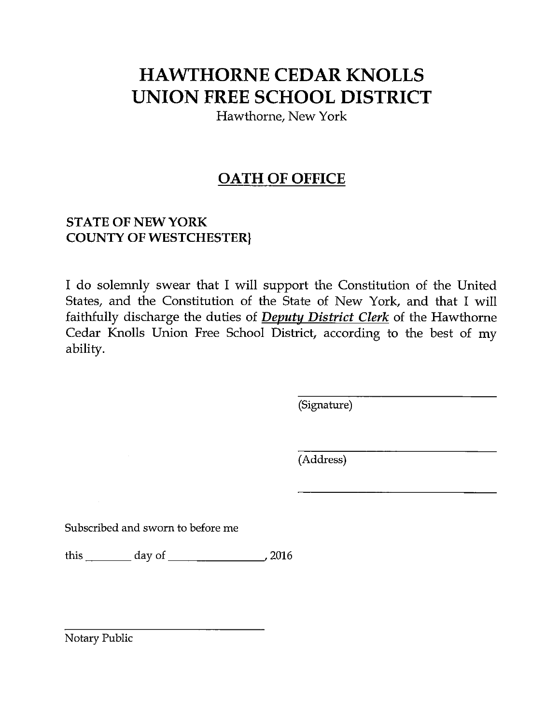Hawthorne, New York

## OATH OF OFFICE

### STATE OF NEW YORK COUNTY OF WESTCHESTERJ

I do solemnly swear that I will support the Constitution of the United States, and the Constitution of the State of New York, and that I will faithfully discharge the duties of Deputy District Clerk of the Hawthorne Cedar Knolls Union Free School District, according to the best of my ability.

(Signature)

(Address)

Subscribed and sworn to before me

this \_\_\_\_\_\_\_\_\_ day of \_\_\_\_\_\_\_\_\_\_\_\_\_\_\_\_\_\_, 2016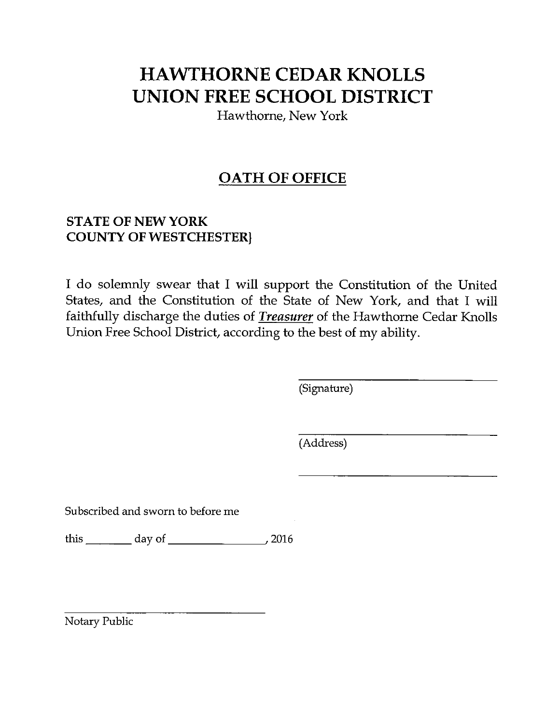Hawthorne, New York

## OATH OF OFFICE

### STATE OF NEW YORK COUNTY OF WESTCHESTER}

I do solemnly swear that I will support the Constitution of the United States, and the Constitution of the State of New York, and that I will faithfully discharge the duties of **Treasurer** of the Hawthorne Cedar Knolls Union Free School District, according to the best of my ability.

(Signature)

(Address)

Subscribed and sworn to before me

this \_\_\_\_\_\_\_\_\_ day of \_\_\_\_\_\_\_\_\_\_\_\_\_\_\_\_\_\_, 2016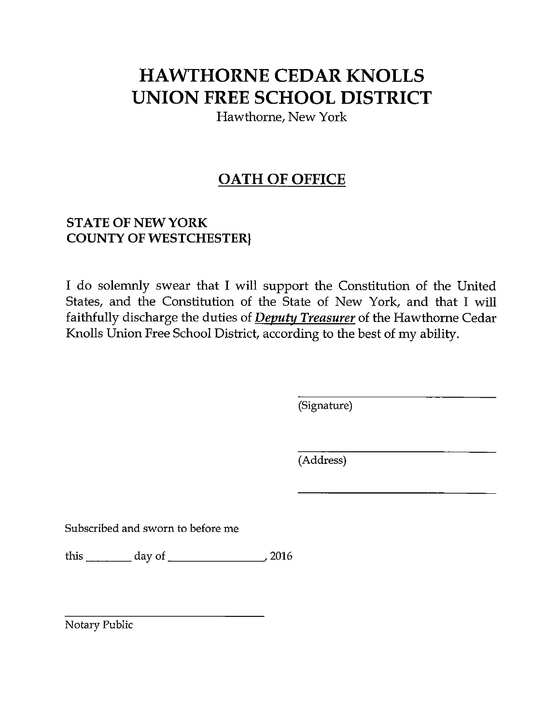Hawthorne, New York

## **OATH OF OFFICE**

### STATE OF NEW YORK COUNTY OF WESTCHESTER)

I do solemnly swear that I will support the Constitution of the United States, and the Constitution of the State of New York, and that I will faithfully discharge the duties of Deputy Treasurer of the Hawthorne Cedar Knolls Union Free School District, according to the best of my ability.

(Signature)

(Address)

Subscribed and sworn to before me

this \_\_\_\_\_\_\_\_\_ day of \_\_\_\_\_\_\_\_\_\_\_\_\_\_\_\_\_\_, 2016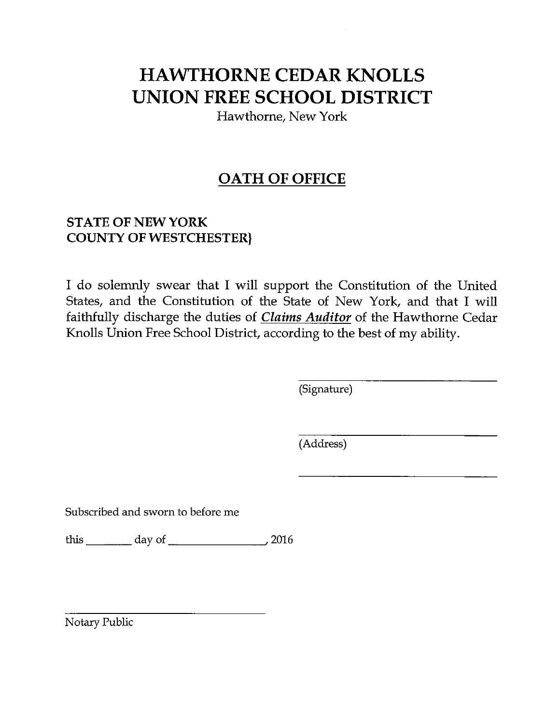Hawthorne, New York

## OATH OF OFFICE

### STATE OF NEW YORK COUNTY OF WESTCHESTER}

I do solemnly swear that I will support the Constitution of the United States, and the Constitution of the State of New York, and that I will faithfully discharge the duties of *Claims Auditor* of the Hawthorne Cedar Knolls Union Free School District, according to the best of my ability.

(Signature)

(Address)

Subscribed and sworn to before me

this \_\_\_\_\_\_\_ day of \_\_\_\_\_\_\_\_\_\_\_\_\_\_,2016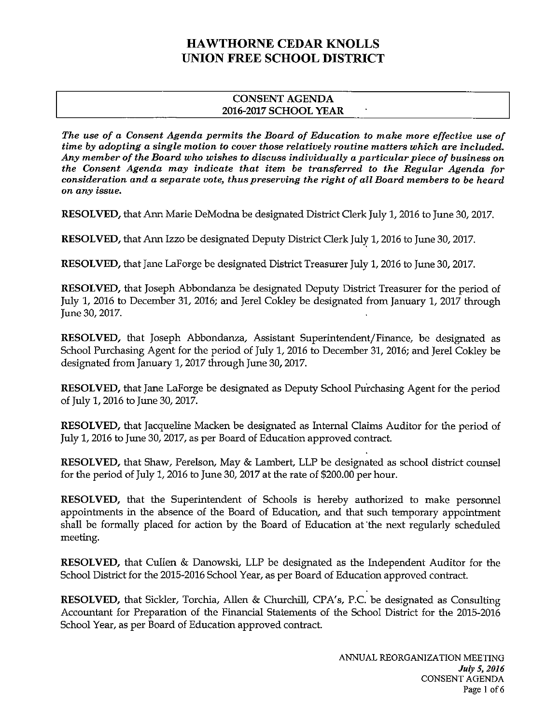#### CONSENT AGENDA 2016-2017 SCHOOL YEAR

The use of a Consent Agenda permits the Board of Education to make more effective use of time by adopting a single motion to cover those relatively routine matters which are included. Any member of the Board who wishes to discuss individually a particular piece of business on the Consent Agenda may indicate that item be transferred to the Regular Agenda for consideration and a separate vote, thus preserving the right of all Board members to be heard on any issue.

RESOLVED, that Ann Marie DeModna be designated District Clerk July 1, 2016 to June 30, 2017.

RESOLVED, that Ann Izzo be designated Deputy District Clerk July 1, 2016 to June 30, 2017.

RESOLVED, that Jane LaForge be designated District Treasurer July 1, 2016 to June 30, 2017.

RESOLVED, that Joseph Abbondanza be designated Deputy District Treasurer for the period of July 1, 2016 to December 31, 2016; and Jerel Cokley be designated from January 1, 2017 through June 30, 2017.

RESOLVED, that Joseph Abbondanza, Assistant Superintendent/Finance, be designated as School Purchasing Agent for the period of July 1, 2016 to December 31, 2016; and Jerel Cokley be designated from January 1, 2017 through June 30, 2017.

RESOLVED, that Jane LaForge be designated as Deputy School Purchasing Agent for the period of July 1, 2016 to June 30, 2017.

RESOLVED, that Jacqueline Macken be designated as Internal Claims Auditor for the period of July 1, 2016 to June 30, 2017, as per Board of Education approved contract.

RESOLVED, that Shaw, Perelson, May & Lambert, LLP be designated as school district counsel for the period of July 1, 2016 to June 30, 2017 at the rate of \$200.00 per hour.

RESOLVED, that the Superintendent of Schools is hereby authorized to make personnel appointments in the absence of the Board of Education, and that such temporary appointment shall be formally placed for action by the Board of Education at the next regularly scheduled meeting.

RESOLVED, that Cullen & Danowski, LLP be designated as the Independent Auditor for the School District for the 2015-2016 School Year, as per Board of Education approved contract.

RESOLVED, that Sickler, Torchia, Allen & Churchill, CPA's, P.C. be designated as Consulting Accountant for Preparation of the Financial Statements of the School District for the 2015-2016 School Year, as per Board of Education approved contract.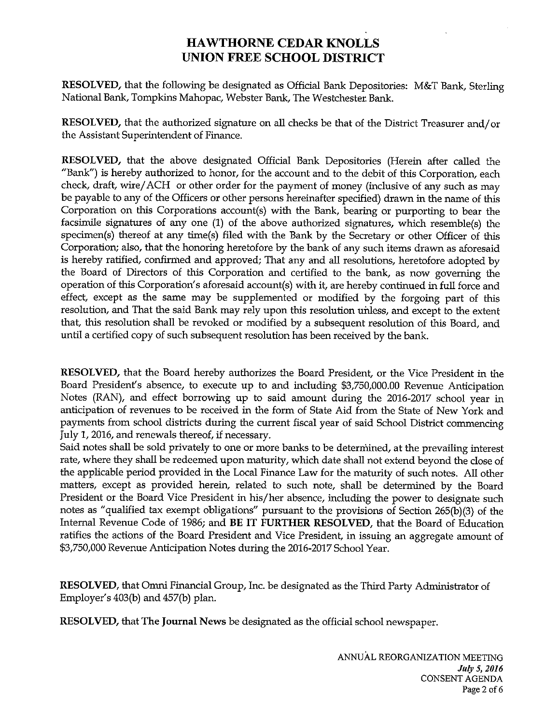RESOLVED, that the following be designated as Official Bank Depositories: M&T Bank, Sterling National Bank, Tompkins Mahopac, Webster Bank, The Westchester Bank.

RESOLVED, that the authorized signature on all checks be that of the District Treasurer and/or the Assistant Superintendent of Finance.

RESOLVED, that the above designated Official Bank Depositories (Herein after called the "Bank") is hereby authorized to honor, for the account and to the debit of this Corporation, each check, draft, wire/ACH or other order for the payment of money (inclusive of any such as may be payable to any of the Officers or other persons hereinafter specified) drawn in the name of this Corporation on this Corporations account(s) with the Bank, bearing or purporting to bear the facsimile signatures of any one (1) of the above authorized signatures, which resemble(s) the specimen(s) thereof at any time(s) filed with the Bank by the Secretary or other Officer of this Corporation; also, that the honoring heretofore by the bank of any such items drawn as aforesaid is hereby ratified, confirmed and approved; That any and all resolutions, heretofore adopted by the Board of Directors of this Corporation and certified to the bank, as now governing the operation of this Corporation's aforesaid account(s) with it, are hereby continued in full force and effect, except as the same may be supplemented or modified by the forgoing part of this resolution, and That the said Bank may rely upon this resolution uiiless, and except to the extent that, this resolution shall be revoked or modified by a subsequent resolution of this Board, and until a certified copy of such subsequent resolution has been received by the bank.

RESOLVED, that the Board hereby authorizes the Board President, or the Vice President in the Board President's absence, to execute up to and including \$3,750,000.00 Revenue Anticipation Notes (RAN), and effect borrowing up to said amount during the 2016-2017 school year in anticipation of revenues to be received in the form of State Aid from the State of New York and payments from school districts during the current fiscal year of said School District commencing July 1, 2016, and renewals thereof, if necessary.

Said notes shall be sold privately to one or more banks to be deterniined, at the prevailing interest rate, where they shall be redeemed upon maturity, which date shall not extend beyond the close of the applicable period provided in the Local Finance Law for the maturity of such notes. All other matters, except as provided herein, related to such note, shall be determined by the Board President or the Board Vice President in his/her absence, including the power to designate such notes as "qualified tax exempt obligations" pursuant to the provisions of Section 265(b)(3) of the Internal Revenue Code of 1986; and BE IT FURTHER RESOLVED, that the Board of Education ratifies the actions of the Board President and Vice President, in issuing an aggregate amount of \$3,750,000 Revenue Anticipation Notes during the 2016-2017 School Year.

RESOLVED, that Omni Financial Group, Inc. be designated as the Third Party Administrator of Employer's 403(b) and 457(b) plan.

RESOLVED, that The Journal News be designated as the official school newspaper.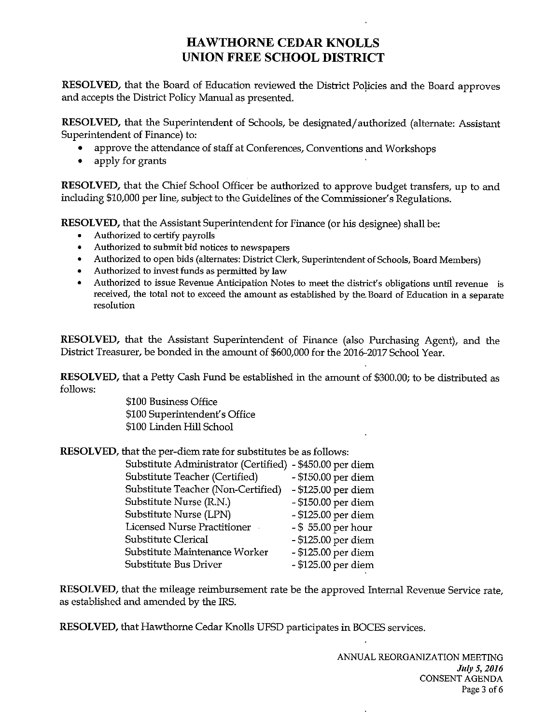RESOLVED, that the Board of Education reviewed the District Policies and the Board approves and accepts the District Policy Manual as presented.

RESOLVED, that the Superintendent of Schools, be designated/authorized (alternate: Assistant Superintendent of Finance) to:

- approve the attendance of staff at Conferences, Conventions and Workshops
- apply for grants

RESOLVED, that the Chief School Officer be authorized to approve budget transfers, up to and including \$10,000 per line, subject to the Guidelines of the Commissioner's Regulations.

RESOLVED, that the Assistant Superintendent for Finance (or his designee) shall be:

- Authorized to certify payrolls
- Authorized to submit bid notices to newspapers
- Authorized to open bids (alternates: District Clerk, Superintendent of Schools, Board Members)
- Authorized to invest funds as permitted by law
- Authorized to issue Revenue Anticipation Notes to meet the district's obligations until revenue is received, the total not to exceed the amount as established by the. Board of Education in a separate resolution

RESOLVED, that the Assistant Superintendent of Finance (also Purchasing Agent), and the District Treasurer, be bonded in the amount of \$600,000 for the 2016-2017 School Year.

RESOLVED, that a Petty Cash Fund be established in the amount of \$300.00; to be distributed as follows:

\$100 Business Office \$100 Superintendent's Office \$100 Linden Hill School

RESOLVED, that the per-diem rate for substitutes be as follows:

| Substitute Administrator (Certified) - \$450.00 per diem |
|----------------------------------------------------------|
| - \$150.00 per diem                                      |
| - \$125.00 per diem                                      |
| - \$150.00 per diem                                      |
| - \$125.00 per diem                                      |
| $-$ \$ 55.00 per hour                                    |
| - \$125.00 per diem                                      |
| - \$125.00 per diem                                      |
| - \$125.00 per diem                                      |
|                                                          |

RESOLVED, that the mileage reimbursement rate be the approved Internal Revenue Service rate, as established and amended by the IRS.

RESOLVED, that Hawthorne Cedar Knolls UFSD participates in BOCES services.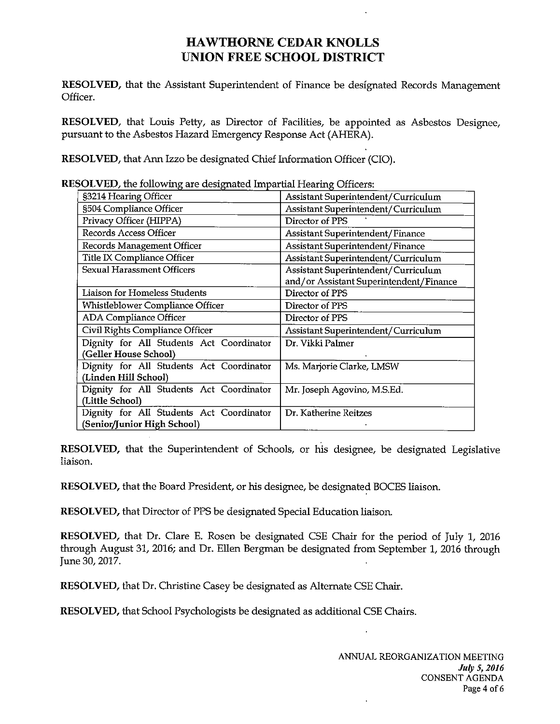RESOLVED, that the Assistant Superintendent of Finance be designated Records Management Officer.

RESOLVED, that Louis Petty, as Director of Facilities, be appointed as Asbestos Designee, pursuant to the Asbestos Hazard Emergency Response Act (AHERA).

RESOLVED, that Ann Izzo be designated Chief Information Officer (CIO).

| $\mathbf{SOL}$ v $\mathbf{ED}$ , the following are designated impartial $\mathbf{H}$ earing Officers: |                                         |
|-------------------------------------------------------------------------------------------------------|-----------------------------------------|
| §3214 Hearing Officer                                                                                 | Assistant Superintendent/Curriculum     |
| §504 Compliance Officer                                                                               | Assistant Superintendent/Curriculum     |
| Privacy Officer (HIPPA)                                                                               | Director of PPS                         |
| Records Access Officer                                                                                | <b>Assistant Superintendent/Finance</b> |
| Records Management Officer                                                                            | Assistant Superintendent/Finance        |
| Title IX Compliance Officer                                                                           | Assistant Superintendent/Curriculum     |
| <b>Sexual Harassment Officers</b>                                                                     | Assistant Superintendent/Curriculum     |
|                                                                                                       | and/or Assistant Superintendent/Finance |
| Liaison for Homeless Students                                                                         | Director of PPS                         |
| Whistleblower Compliance Officer                                                                      | Director of PPS                         |
| ADA Compliance Officer                                                                                | Director of PPS                         |
| Civil Rights Compliance Officer                                                                       | Assistant Superintendent/Curriculum     |
| Dignity for All Students Act Coordinator                                                              | Dr. Vikki Palmer                        |
| (Geller House School)                                                                                 |                                         |
| Dignity for All Students Act Coordinator                                                              | Ms. Marjorie Clarke, LMSW               |
| (Linden Hill School)                                                                                  |                                         |
| Dignity for All Students Act Coordinator                                                              | Mr. Joseph Agovino, M.S.Ed.             |
| (Little School)                                                                                       |                                         |
| Dignity for All Students Act Coordinator                                                              | Dr. Katherine Reitzes                   |
| (Senior/Junior High School)                                                                           |                                         |

 $RESOLVED$ , the following are designated Impartial Hearing Office

RESOLVED, that the Superintendent of Schools, or his designee, be designated Legislative liaison.

RESOLVED, that the Board President, or his designee, be designated BOCES liaison.

RESOLVED, that Director of PPS be designated Special Education liaison.

RESOLVED, that Dr. Clare E. Rosen be designated CSE Chair for the period of July 1, 2016 through August 31, 2016; and Dr. Ellen Bergman be designated from September 1, 2016 through June 30, 2017.

RESOLVED, that Dr. Christine Casey be designated as Alternate CSE Chair.

RESOLVED, that School Psychologists be designated as additional CSE Chairs.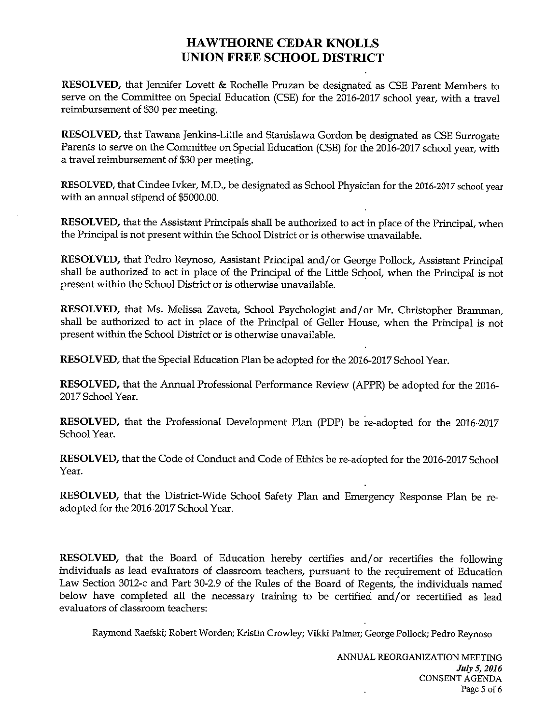RESOLVED, that Jennifer Lovett & Rochelle Pruzan be designated as CSE Parent Members to serve on the Committee on Special Education (CSE) for the 2016-2017 school year, with a travel reimbursement of \$30 per meeting.

RESOLVED, that Tawana Jenkins-Little and Stanislawa Gordon be designated as CSE Surrogate Parents to serve on the Committee on Special Education (CSE) for the 2016-2017 school year, with a travel reimbursement of \$30 per meeting.

RESOLVED, that Cindee Ivker, M.D., be designated as School Physician for the 2016-2017 school year with an annual stipend of \$5000.00.

RESOLVED, that the Assistant Principals shall be authorized to act in place of the Principal, when the Principal is not present within the School District or is otherwise unavailable.

RESOLVED, that Pedro Reynoso, Assistant Principal and/or George Pollock, Assistant Principal shall be authorized to act in place of the Principal of the Little School, when the Principal is not present within the School District or is otherwise unavailable.

RESOLVED, that Ms. Melissa Zaveta, School Psychologist and/or Mr. Christopher Bramman, shall be authorized to act in place of the Principal of Geller House, when the Principal is not present within the School District or is otherwise unavailable.

RESOLVED, that the Special Education Plan be adopted for the 2016-2017 School Year.

RESOLVED, that the Annual Professional Performance Review (APPR) be adopted for the 2016- 2017 School Year.

RESOLVED, that the Professional Development Plan (PDP) be re-adopted for the 2016-2017 School Year.

RESOLVED, that the Code of Conduct and Code of Ethics be re-adopted for the 2016-2017 School Year.

RESOLVED, that the District-Wide School Safety Plan and Emergency Response Plan be re adopted for the 2016-2017 School Year.

RESOLVED, that the Board of Education hereby certifies and/or recertifies the following individuals as lead evaluators of classroom teachers, pursuant to the requirement of Education Law Section 3012-c and Part 30-2.9 of the Rules of the Board of Regents, the individuals named below have completed all the necessary training to be certified and/or recertified as lead evaluators of classroom teachers:

Raymond Raefski; Robert Worden; Kristin Crowley; Vikki Palmer; George Pollock; Pedro Reynoso